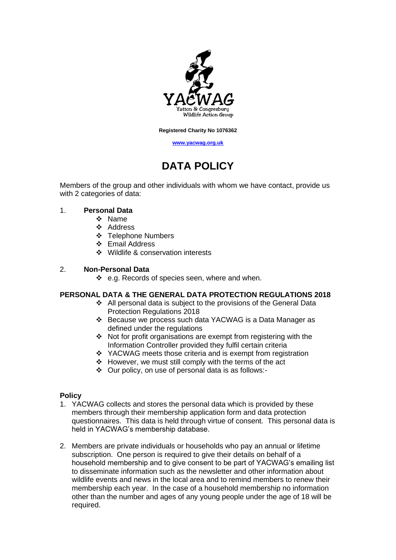

**Registered Charity No 1076362**

**[www.yacwag.org.uk](http://www.yacwag.org.uk/)**

# **DATA POLICY**

Members of the group and other individuals with whom we have contact, provide us with 2 categories of data:

### 1. **Personal Data**

- ❖ Name
- ❖ Address
- ❖ Telephone Numbers
- ❖ Email Address
- ❖ Wildlife & conservation interests

### 2. **Non-Personal Data**

❖ e.g. Records of species seen, where and when.

#### **PERSONAL DATA & THE GENERAL DATA PROTECTION REGULATIONS 2018**

- ❖ All personal data is subject to the provisions of the General Data Protection Regulations 2018
- ❖ Because we process such data YACWAG is a Data Manager as defined under the regulations
- ❖ Not for profit organisations are exempt from registering with the Information Controller provided they fulfil certain criteria
- ❖ YACWAG meets those criteria and is exempt from registration
- ❖ However, we must still comply with the terms of the act
- ❖ Our policy, on use of personal data is as follows:-

# **Policy**

- 1. YACWAG collects and stores the personal data which is provided by these members through their membership application form and data protection questionnaires. This data is held through virtue of consent. This personal data is held in YACWAG's membership database.
- 2. Members are private individuals or households who pay an annual or lifetime subscription. One person is required to give their details on behalf of a household membership and to give consent to be part of YACWAG's emailing list to disseminate information such as the newsletter and other information about wildlife events and news in the local area and to remind members to renew their membership each year. In the case of a household membership no information other than the number and ages of any young people under the age of 18 will be required.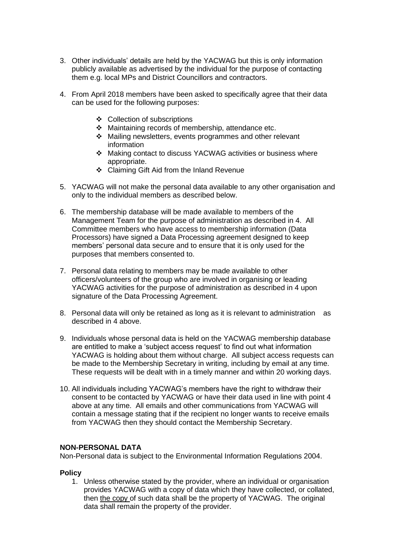- 3. Other individuals' details are held by the YACWAG but this is only information publicly available as advertised by the individual for the purpose of contacting them e.g. local MPs and District Councillors and contractors.
- 4. From April 2018 members have been asked to specifically agree that their data can be used for the following purposes:
	- ❖ Collection of subscriptions
	- ❖ Maintaining records of membership, attendance etc.
	- ❖ Mailing newsletters, events programmes and other relevant information
	- ❖ Making contact to discuss YACWAG activities or business where appropriate.
	- ❖ Claiming Gift Aid from the Inland Revenue
- 5. YACWAG will not make the personal data available to any other organisation and only to the individual members as described below.
- 6. The membership database will be made available to members of the Management Team for the purpose of administration as described in 4. All Committee members who have access to membership information (Data Processors) have signed a Data Processing agreement designed to keep members' personal data secure and to ensure that it is only used for the purposes that members consented to.
- 7. Personal data relating to members may be made available to other officers/volunteers of the group who are involved in organising or leading YACWAG activities for the purpose of administration as described in 4 upon signature of the Data Processing Agreement.
- 8. Personal data will only be retained as long as it is relevant to administration as described in 4 above.
- 9. Individuals whose personal data is held on the YACWAG membership database are entitled to make a 'subject access request' to find out what information YACWAG is holding about them without charge. All subject access requests can be made to the Membership Secretary in writing, including by email at any time. These requests will be dealt with in a timely manner and within 20 working days.
- 10. All individuals including YACWAG's members have the right to withdraw their consent to be contacted by YACWAG or have their data used in line with point 4 above at any time. All emails and other communications from YACWAG will contain a message stating that if the recipient no longer wants to receive emails from YACWAG then they should contact the Membership Secretary.

# **NON-PERSONAL DATA**

Non-Personal data is subject to the Environmental Information Regulations 2004.

# **Policy**

1. Unless otherwise stated by the provider, where an individual or organisation provides YACWAG with a copy of data which they have collected, or collated, then the copy of such data shall be the property of YACWAG. The original data shall remain the property of the provider.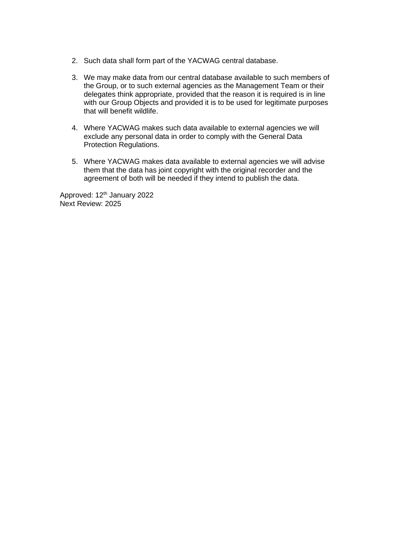- 2. Such data shall form part of the YACWAG central database.
- 3. We may make data from our central database available to such members of the Group, or to such external agencies as the Management Team or their delegates think appropriate, provided that the reason it is required is in line with our Group Objects and provided it is to be used for legitimate purposes that will benefit wildlife.
- 4. Where YACWAG makes such data available to external agencies we will exclude any personal data in order to comply with the General Data Protection Regulations.
- 5. Where YACWAG makes data available to external agencies we will advise them that the data has joint copyright with the original recorder and the agreement of both will be needed if they intend to publish the data.

Approved: 12<sup>th</sup> January 2022 Next Review: 2025